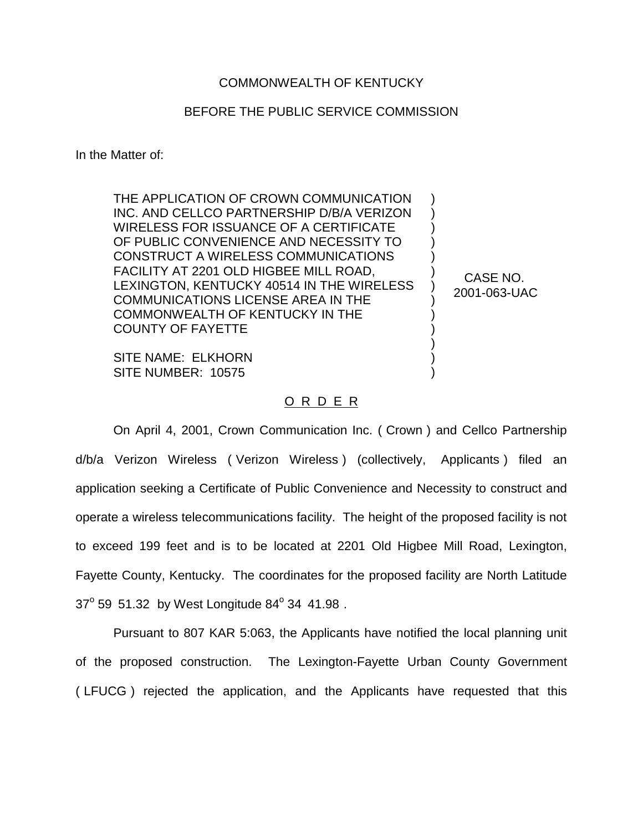## COMMONWEALTH OF KENTUCKY

## BEFORE THE PUBLIC SERVICE COMMISSION

In the Matter of:

THE APPLICATION OF CROWN COMMUNICATION INC. AND CELLCO PARTNERSHIP D/B/A VERIZON WIRELESS FOR ISSUANCE OF A CERTIFICATE OF PUBLIC CONVENIENCE AND NECESSITY TO CONSTRUCT A WIRELESS COMMUNICATIONS FACILITY AT 2201 OLD HIGBEE MILL ROAD, LEXINGTON, KENTUCKY 40514 IN THE WIRELESS COMMUNICATIONS LICENSE AREA IN THE COMMONWEALTH OF KENTUCKY IN THE COUNTY OF FAYETTE

SITE NAME: ELKHORN SITE NUMBER: 10575

## O R D E R

On April 4, 2001, Crown Communication Inc. ( Crown ) and Cellco Partnership d/b/a Verizon Wireless ( Verizon Wireless ) (collectively, Applicants ) filed an application seeking a Certificate of Public Convenience and Necessity to construct and operate a wireless telecommunications facility. The height of the proposed facility is not to exceed 199 feet and is to be located at 2201 Old Higbee Mill Road, Lexington, Fayette County, Kentucky. The coordinates for the proposed facility are North Latitude  $37^{\circ}$  59 51.32 by West Longitude 84 $^{\circ}$  34 41.98.

Pursuant to 807 KAR 5:063, the Applicants have notified the local planning unit of the proposed construction. The Lexington-Fayette Urban County Government ( LFUCG ) rejected the application, and the Applicants have requested that this

CASE NO. 2001-063-UAC

) ) ) ) ) ) ) ) ) ) ) ) )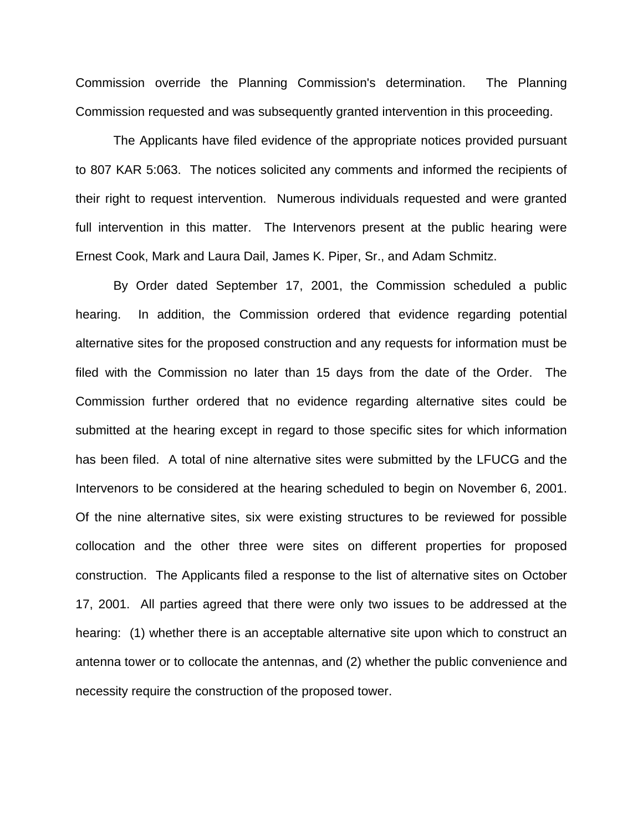Commission override the Planning Commission's determination. The Planning Commission requested and was subsequently granted intervention in this proceeding.

The Applicants have filed evidence of the appropriate notices provided pursuant to 807 KAR 5:063. The notices solicited any comments and informed the recipients of their right to request intervention. Numerous individuals requested and were granted full intervention in this matter. The Intervenors present at the public hearing were Ernest Cook, Mark and Laura Dail, James K. Piper, Sr., and Adam Schmitz.

By Order dated September 17, 2001, the Commission scheduled a public hearing. In addition, the Commission ordered that evidence regarding potential alternative sites for the proposed construction and any requests for information must be filed with the Commission no later than 15 days from the date of the Order. The Commission further ordered that no evidence regarding alternative sites could be submitted at the hearing except in regard to those specific sites for which information has been filed. A total of nine alternative sites were submitted by the LFUCG and the Intervenors to be considered at the hearing scheduled to begin on November 6, 2001. Of the nine alternative sites, six were existing structures to be reviewed for possible collocation and the other three were sites on different properties for proposed construction. The Applicants filed a response to the list of alternative sites on October 17, 2001. All parties agreed that there were only two issues to be addressed at the hearing: (1) whether there is an acceptable alternative site upon which to construct an antenna tower or to collocate the antennas, and (2) whether the public convenience and necessity require the construction of the proposed tower.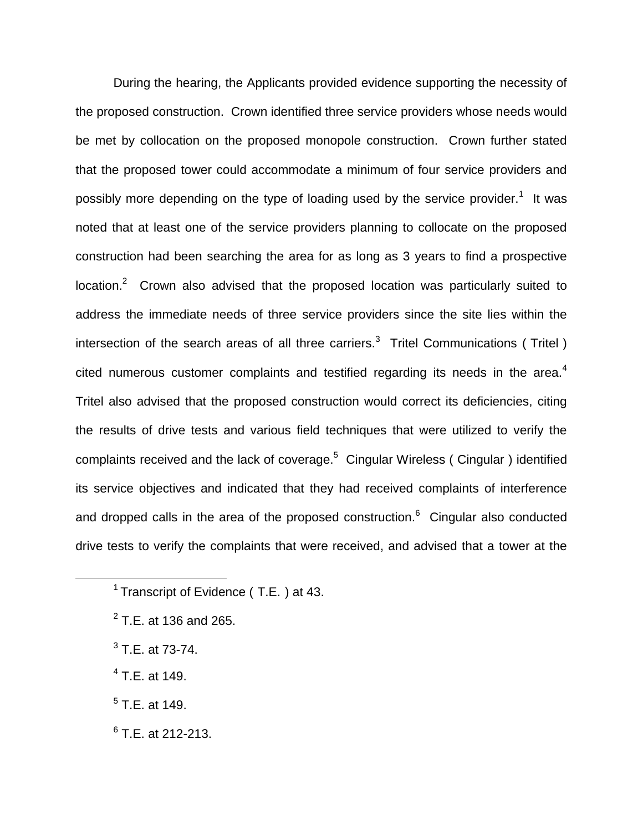During the hearing, the Applicants provided evidence supporting the necessity of the proposed construction. Crown identified three service providers whose needs would be met by collocation on the proposed monopole construction. Crown further stated that the proposed tower could accommodate a minimum of four service providers and possibly more depending on the type of loading used by the service provider.<sup>1</sup> It was noted that at least one of the service providers planning to collocate on the proposed construction had been searching the area for as long as 3 years to find a prospective location.<sup>2</sup> Crown also advised that the proposed location was particularly suited to address the immediate needs of three service providers since the site lies within the intersection of the search areas of all three carriers.<sup>3</sup> Tritel Communications (Tritel) cited numerous customer complaints and testified regarding its needs in the area.<sup>4</sup> Tritel also advised that the proposed construction would correct its deficiencies, citing the results of drive tests and various field techniques that were utilized to verify the complaints received and the lack of coverage.5 Cingular Wireless ( Cingular ) identified its service objectives and indicated that they had received complaints of interference and dropped calls in the area of the proposed construction. $6$  Cingular also conducted drive tests to verify the complaints that were received, and advised that a tower at the

- $3$  T.E. at 73-74.
- $4$  T.E. at 149.
- $<sup>5</sup>$  T.E. at 149.</sup>
- $6$  T.E. at 212-213.

<sup>&</sup>lt;sup>1</sup> Transcript of Evidence (T.E.) at 43.

 $2$  T.E. at 136 and 265.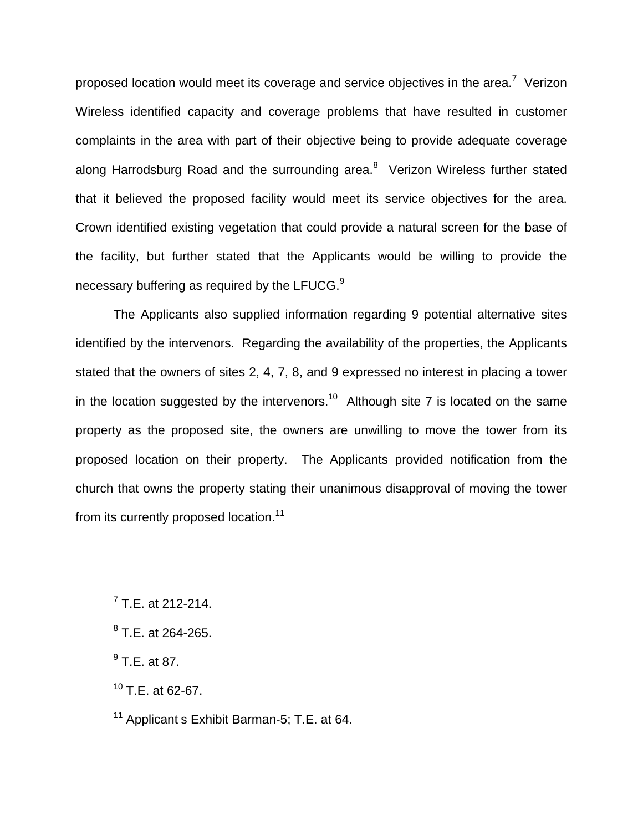proposed location would meet its coverage and service objectives in the area.<sup>7</sup> Verizon Wireless identified capacity and coverage problems that have resulted in customer complaints in the area with part of their objective being to provide adequate coverage along Harrodsburg Road and the surrounding area. $8$  Verizon Wireless further stated that it believed the proposed facility would meet its service objectives for the area. Crown identified existing vegetation that could provide a natural screen for the base of the facility, but further stated that the Applicants would be willing to provide the necessary buffering as required by the LFUCG. $9$ 

The Applicants also supplied information regarding 9 potential alternative sites identified by the intervenors. Regarding the availability of the properties, the Applicants stated that the owners of sites 2, 4, 7, 8, and 9 expressed no interest in placing a tower in the location suggested by the intervenors.<sup>10</sup> Although site 7 is located on the same property as the proposed site, the owners are unwilling to move the tower from its proposed location on their property. The Applicants provided notification from the church that owns the property stating their unanimous disapproval of moving the tower from its currently proposed location.<sup>11</sup>

 $<sup>7</sup>$  T.E. at 212-214.</sup>

 $8$  T.E. at 264-265.

 $^{9}$  T.E. at 87.

 $10$  T.E. at 62-67.

<sup>&</sup>lt;sup>11</sup> Applicant s Exhibit Barman-5; T.E. at 64.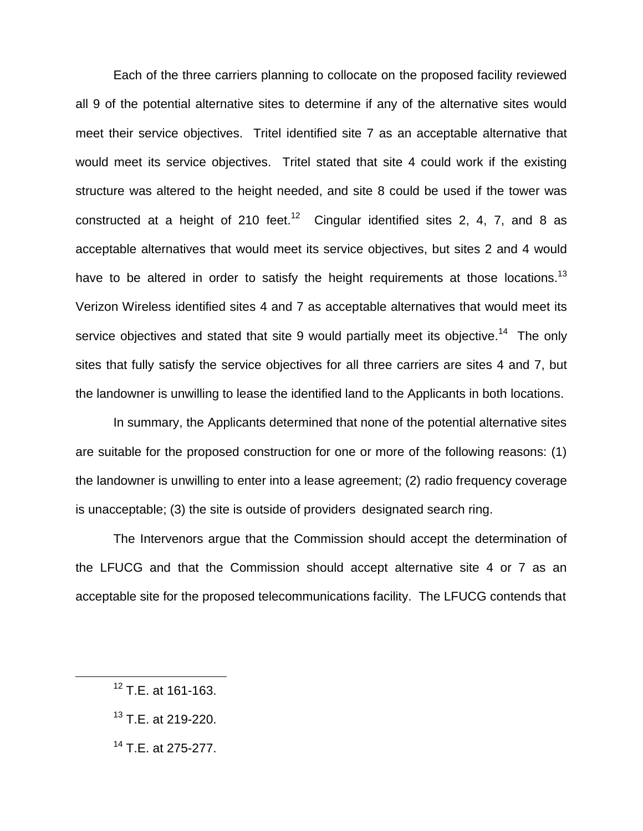Each of the three carriers planning to collocate on the proposed facility reviewed all 9 of the potential alternative sites to determine if any of the alternative sites would meet their service objectives. Tritel identified site 7 as an acceptable alternative that would meet its service objectives. Tritel stated that site 4 could work if the existing structure was altered to the height needed, and site 8 could be used if the tower was constructed at a height of 210 feet.<sup>12</sup> Cingular identified sites 2, 4, 7, and 8 as acceptable alternatives that would meet its service objectives, but sites 2 and 4 would have to be altered in order to satisfy the height requirements at those locations.<sup>13</sup> Verizon Wireless identified sites 4 and 7 as acceptable alternatives that would meet its service objectives and stated that site 9 would partially meet its objective.<sup>14</sup> The only sites that fully satisfy the service objectives for all three carriers are sites 4 and 7, but the landowner is unwilling to lease the identified land to the Applicants in both locations.

In summary, the Applicants determined that none of the potential alternative sites are suitable for the proposed construction for one or more of the following reasons: (1) the landowner is unwilling to enter into a lease agreement; (2) radio frequency coverage is unacceptable; (3) the site is outside of providers designated search ring.

The Intervenors argue that the Commission should accept the determination of the LFUCG and that the Commission should accept alternative site 4 or 7 as an acceptable site for the proposed telecommunications facility. The LFUCG contends that

<sup>12</sup> T.E. at 161-163.

<sup>&</sup>lt;sup>13</sup> T.E. at 219-220.

 $14$  T.E. at 275-277.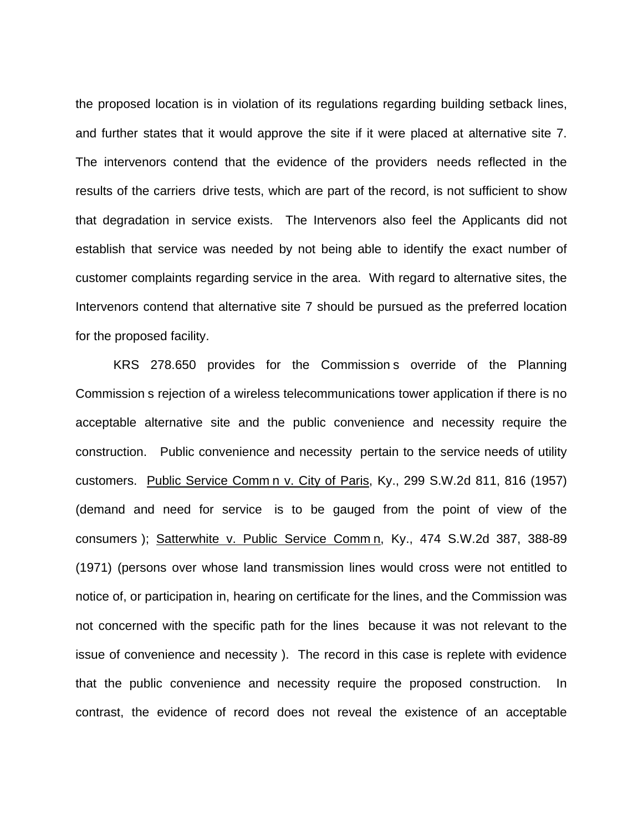the proposed location is in violation of its regulations regarding building setback lines, and further states that it would approve the site if it were placed at alternative site 7. The intervenors contend that the evidence of the providers needs reflected in the results of the carriers drive tests, which are part of the record, is not sufficient to show that degradation in service exists. The Intervenors also feel the Applicants did not establish that service was needed by not being able to identify the exact number of customer complaints regarding service in the area. With regard to alternative sites, the Intervenors contend that alternative site 7 should be pursued as the preferred location for the proposed facility.

KRS 278.650 provides for the Commission s override of the Planning Commission s rejection of a wireless telecommunications tower application if there is no acceptable alternative site and the public convenience and necessity require the construction. Public convenience and necessity pertain to the service needs of utility customers. Public Service Comm n v. City of Paris, Ky., 299 S.W.2d 811, 816 (1957) (demand and need for service is to be gauged from the point of view of the consumers ); Satterwhite v. Public Service Comm n, Ky., 474 S.W.2d 387, 388-89 (1971) (persons over whose land transmission lines would cross were not entitled to notice of, or participation in, hearing on certificate for the lines, and the Commission was not concerned with the specific path for the lines because it was not relevant to the issue of convenience and necessity ). The record in this case is replete with evidence that the public convenience and necessity require the proposed construction. In contrast, the evidence of record does not reveal the existence of an acceptable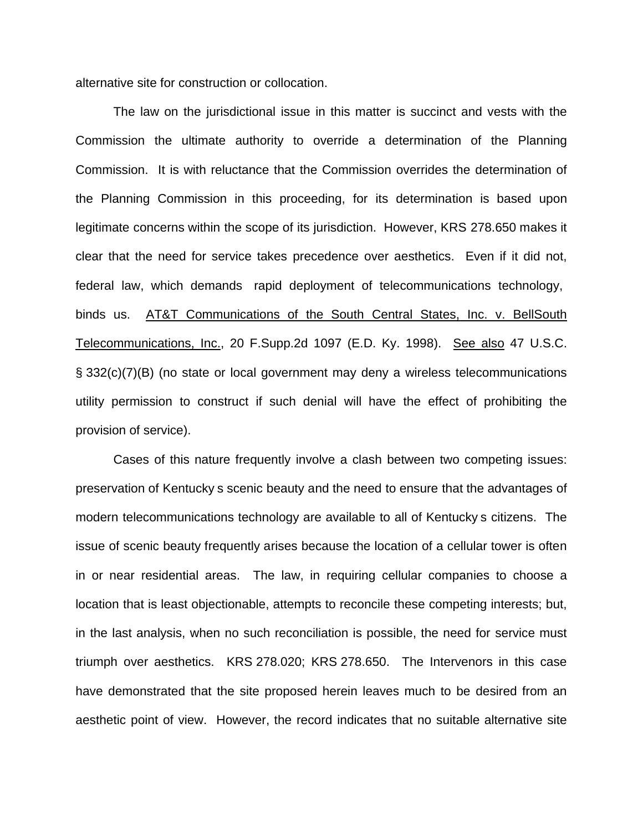alternative site for construction or collocation.

The law on the jurisdictional issue in this matter is succinct and vests with the Commission the ultimate authority to override a determination of the Planning Commission. It is with reluctance that the Commission overrides the determination of the Planning Commission in this proceeding, for its determination is based upon legitimate concerns within the scope of its jurisdiction. However, KRS 278.650 makes it clear that the need for service takes precedence over aesthetics. Even if it did not, federal law, which demands rapid deployment of telecommunications technology, binds us. AT&T Communications of the South Central States, Inc. v. BellSouth Telecommunications, Inc., 20 F.Supp.2d 1097 (E.D. Ky. 1998). See also 47 U.S.C. § 332(c)(7)(B) (no state or local government may deny a wireless telecommunications utility permission to construct if such denial will have the effect of prohibiting the provision of service).

Cases of this nature frequently involve a clash between two competing issues: preservation of Kentucky s scenic beauty and the need to ensure that the advantages of modern telecommunications technology are available to all of Kentucky s citizens. The issue of scenic beauty frequently arises because the location of a cellular tower is often in or near residential areas. The law, in requiring cellular companies to choose a location that is least objectionable, attempts to reconcile these competing interests; but, in the last analysis, when no such reconciliation is possible, the need for service must triumph over aesthetics. KRS 278.020; KRS 278.650. The Intervenors in this case have demonstrated that the site proposed herein leaves much to be desired from an aesthetic point of view. However, the record indicates that no suitable alternative site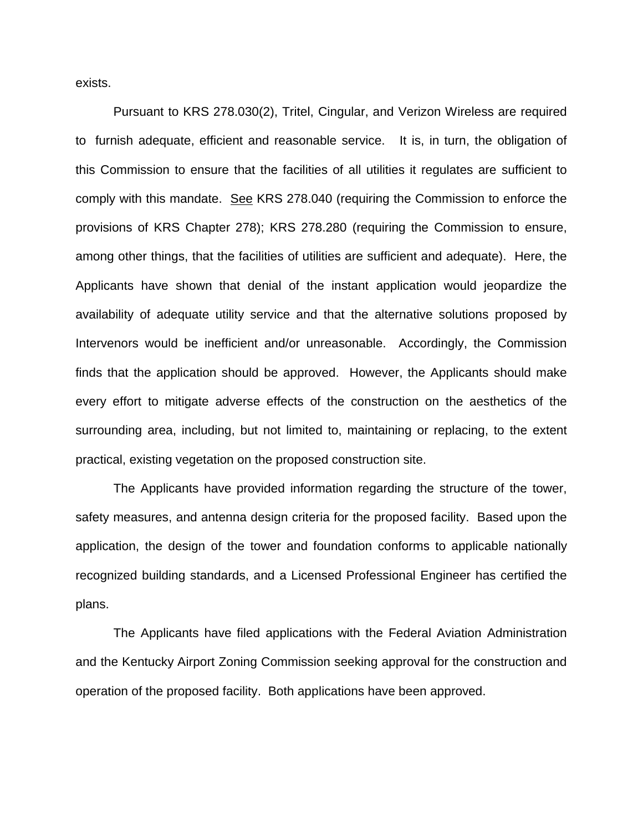exists.

Pursuant to KRS 278.030(2), Tritel, Cingular, and Verizon Wireless are required to furnish adequate, efficient and reasonable service. It is, in turn, the obligation of this Commission to ensure that the facilities of all utilities it regulates are sufficient to comply with this mandate. See KRS 278.040 (requiring the Commission to enforce the provisions of KRS Chapter 278); KRS 278.280 (requiring the Commission to ensure, among other things, that the facilities of utilities are sufficient and adequate). Here, the Applicants have shown that denial of the instant application would jeopardize the availability of adequate utility service and that the alternative solutions proposed by Intervenors would be inefficient and/or unreasonable. Accordingly, the Commission finds that the application should be approved. However, the Applicants should make every effort to mitigate adverse effects of the construction on the aesthetics of the surrounding area, including, but not limited to, maintaining or replacing, to the extent practical, existing vegetation on the proposed construction site.

The Applicants have provided information regarding the structure of the tower, safety measures, and antenna design criteria for the proposed facility. Based upon the application, the design of the tower and foundation conforms to applicable nationally recognized building standards, and a Licensed Professional Engineer has certified the plans.

The Applicants have filed applications with the Federal Aviation Administration and the Kentucky Airport Zoning Commission seeking approval for the construction and operation of the proposed facility. Both applications have been approved.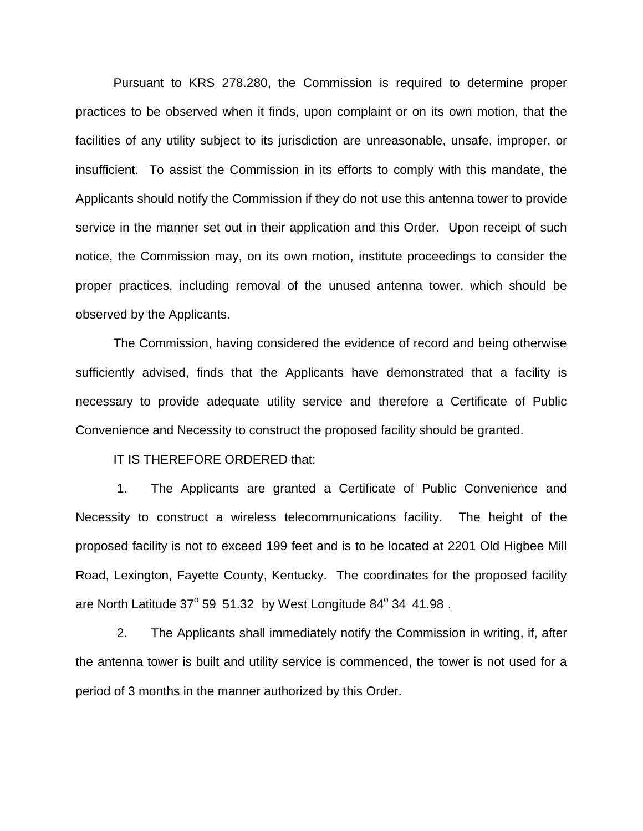Pursuant to KRS 278.280, the Commission is required to determine proper practices to be observed when it finds, upon complaint or on its own motion, that the facilities of any utility subject to its jurisdiction are unreasonable, unsafe, improper, or insufficient. To assist the Commission in its efforts to comply with this mandate, the Applicants should notify the Commission if they do not use this antenna tower to provide service in the manner set out in their application and this Order. Upon receipt of such notice, the Commission may, on its own motion, institute proceedings to consider the proper practices, including removal of the unused antenna tower, which should be observed by the Applicants.

The Commission, having considered the evidence of record and being otherwise sufficiently advised, finds that the Applicants have demonstrated that a facility is necessary to provide adequate utility service and therefore a Certificate of Public Convenience and Necessity to construct the proposed facility should be granted.

IT IS THEREFORE ORDERED that:

1. The Applicants are granted a Certificate of Public Convenience and Necessity to construct a wireless telecommunications facility. The height of the proposed facility is not to exceed 199 feet and is to be located at 2201 Old Higbee Mill Road, Lexington, Fayette County, Kentucky. The coordinates for the proposed facility are North Latitude  $37^{\circ}$  59 51.32 by West Longitude  $84^{\circ}$  34 41.98.

2. The Applicants shall immediately notify the Commission in writing, if, after the antenna tower is built and utility service is commenced, the tower is not used for a period of 3 months in the manner authorized by this Order.